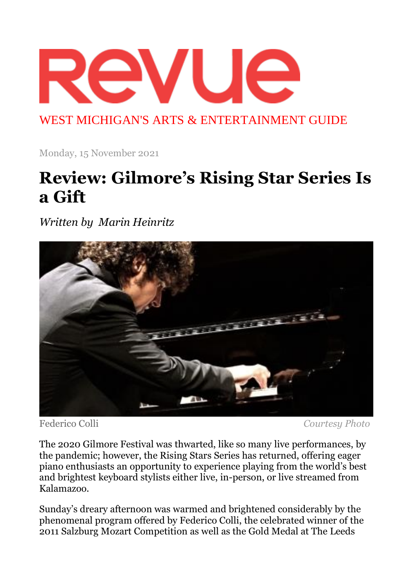

WEST MICHIGAN'S ARTS & ENTERTAINMENT GUIDE

Monday, 15 November 2021

## **Review: Gilmore's Rising Star Series Is a Gift**

*Written by Marin Heinritz*



Federico Colli *Courtesy Photo*

The 2020 Gilmore Festival was thwarted, like so many live performances, by the pandemic; however, the Rising Stars Series has returned, offering eager piano enthusiasts an opportunity to experience playing from the world's best and brightest keyboard stylists either live, in-person, or live streamed from Kalamazoo.

Sunday's dreary afternoon was warmed and brightened considerably by the phenomenal program offered by Federico Colli, the celebrated winner of the 2011 Salzburg Mozart Competition as well as the Gold Medal at The Leeds